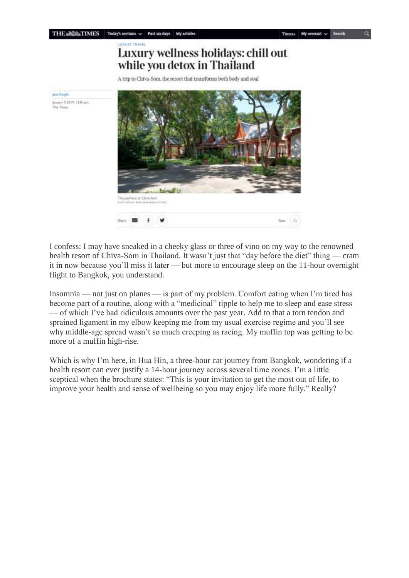## LUXURY TRAVEL Luxury wellness holidays: chill out while you detox in Thailand

A trip to Chiva-Som, the resort that transforms both body and soul



I confess: I may have sneaked in a cheeky glass or three of vino on my way to the renowned health resort of Chiva-Som in Thailand. It wasn't just that "day before the diet" thing — cram it in now because you'll miss it later — but more to encourage sleep on the 11-hour overnight flight to Bangkok, you understand.

Insomnia — not just on planes — is part of my problem. Comfort eating when I'm tired has become part of a routine, along with a "medicinal" tipple to help me to sleep and ease stress — of which I've had ridiculous amounts over the past year. Add to that a torn tendon and sprained ligament in my elbow keeping me from my usual exercise regime and you'll see why middle-age spread wasn't so much creeping as racing. My muffin top was getting to be more of a muffin high-rise.

Which is why I'm here, in Hua Hin, a three-hour car journey from Bangkok, wondering if a health resort can ever justify a 14-hour journey across several time zones. I'm a little sceptical when the brochure states: "This is your invitation to get the most out of life, to improve your health and sense of wellbeing so you may enjoy life more fully." Really?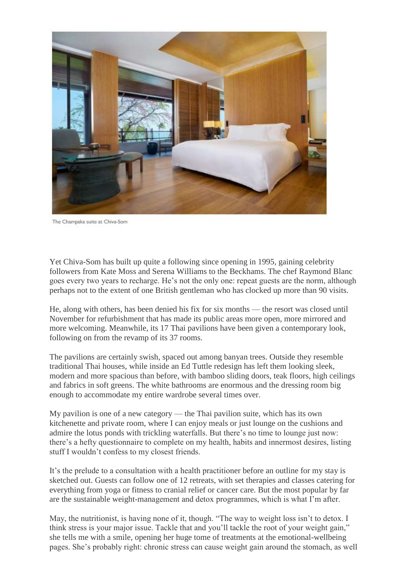

The Champaka suite at Chiva-Som

Yet Chiva-Som has built up quite a following since opening in 1995, gaining celebrity followers from Kate Moss and Serena Williams to the Beckhams. The chef Raymond Blanc goes every two years to recharge. He's not the only one: repeat guests are the norm, although perhaps not to the extent of one British gentleman who has clocked up more than 90 visits.

He, along with others, has been denied his fix for six months — the resort was closed until November for refurbishment that has made its public areas more open, more mirrored and more welcoming. Meanwhile, its 17 Thai pavilions have been given a contemporary look, following on from the revamp of its 37 rooms.

The pavilions are certainly swish, spaced out among banyan trees. Outside they resemble traditional Thai houses, while inside an Ed Tuttle redesign has left them looking sleek, modern and more spacious than before, with bamboo sliding doors, teak floors, high ceilings and fabrics in soft greens. The white bathrooms are enormous and the dressing room big enough to accommodate my entire wardrobe several times over.

My pavilion is one of a new category — the Thai pavilion suite, which has its own kitchenette and private room, where I can enjoy meals or just lounge on the cushions and admire the lotus ponds with trickling waterfalls. But there's no time to lounge just now: there's a hefty questionnaire to complete on my health, habits and innermost desires, listing stuff I wouldn't confess to my closest friends.

It's the prelude to a consultation with a health practitioner before an outline for my stay is sketched out. Guests can follow one of 12 retreats, with set therapies and classes catering for everything from yoga or fitness to cranial relief or cancer care. But the most popular by far are the sustainable weight-management and detox programmes, which is what I'm after.

May, the nutritionist, is having none of it, though. "The way to weight loss isn't to detox. I think stress is your major issue. Tackle that and you'll tackle the root of your weight gain," she tells me with a smile, opening her huge tome of treatments at the emotional-wellbeing pages. She's probably right: chronic stress can cause weight gain around the stomach, as well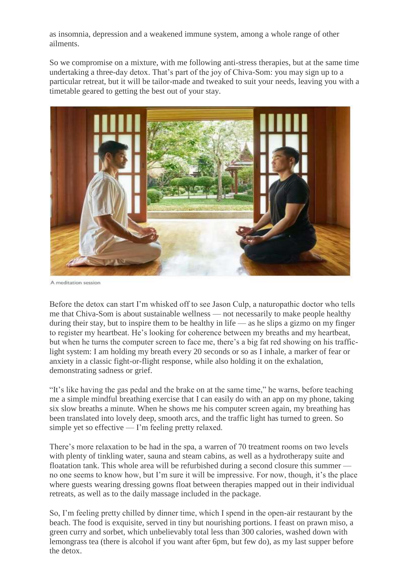as insomnia, depression and a weakened immune system, among a whole range of other ailments.

So we compromise on a mixture, with me following anti-stress therapies, but at the same time undertaking a three-day detox. That's part of the joy of Chiva-Som: you may sign up to a particular retreat, but it will be tailor-made and tweaked to suit your needs, leaving you with a timetable geared to getting the best out of your stay.



A meditation session

Before the detox can start I'm whisked off to see Jason Culp, a naturopathic doctor who tells me that Chiva-Som is about sustainable wellness — not necessarily to make people healthy during their stay, but to inspire them to be healthy in life — as he slips a gizmo on my finger to register my heartbeat. He's looking for coherence between my breaths and my heartbeat, but when he turns the computer screen to face me, there's a big fat red showing on his trafficlight system: I am holding my breath every 20 seconds or so as I inhale, a marker of fear or anxiety in a classic fight-or-flight response, while also holding it on the exhalation, demonstrating sadness or grief.

"It's like having the gas pedal and the brake on at the same time," he warns, before teaching me a simple mindful breathing exercise that I can easily do with an app on my phone, taking six slow breaths a minute. When he shows me his computer screen again, my breathing has been translated into lovely deep, smooth arcs, and the traffic light has turned to green. So simple yet so effective — I'm feeling pretty relaxed.

There's more relaxation to be had in the spa, a warren of 70 treatment rooms on two levels with plenty of tinkling water, sauna and steam cabins, as well as a hydrotherapy suite and floatation tank. This whole area will be refurbished during a second closure this summer no one seems to know how, but I'm sure it will be impressive. For now, though, it's the place where guests wearing dressing gowns float between therapies mapped out in their individual retreats, as well as to the daily massage included in the package.

So, I'm feeling pretty chilled by dinner time, which I spend in the open-air restaurant by the beach. The food is exquisite, served in tiny but nourishing portions. I feast on prawn miso, a green curry and sorbet, which unbelievably total less than 300 calories, washed down with lemongrass tea (there is alcohol if you want after 6pm, but few do), as my last supper before the detox.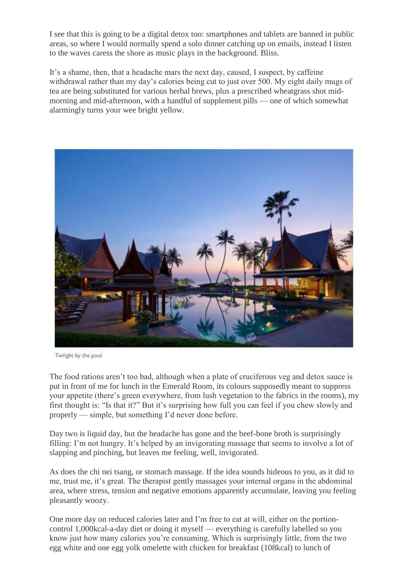I see that this is going to be a digital detox too: smartphones and tablets are banned in public areas, so where I would normally spend a solo dinner catching up on emails, instead I listen to the waves caress the shore as music plays in the background. Bliss.

It's a shame, then, that a headache mars the next day, caused, I suspect, by caffeine withdrawal rather than my day's calories being cut to just over 500. My eight daily mugs of tea are being substituted for various herbal brews, plus a prescribed wheatgrass shot midmorning and mid-afternoon, with a handful of supplement pills — one of which somewhat alarmingly turns your wee bright yellow.



Twilight by the pool

The food rations aren't too bad, although when a plate of cruciferous veg and detox sauce is put in front of me for lunch in the Emerald Room, its colours supposedly meant to suppress your appetite (there's green everywhere, from lush vegetation to the fabrics in the rooms), my first thought is: "Is that it?" But it's surprising how full you can feel if you chew slowly and properly — simple, but something I'd never done before.

Day two is liquid day, but the headache has gone and the beef-bone broth is surprisingly filling: I'm not hungry. It's helped by an invigorating massage that seems to involve a lot of slapping and pinching, but leaves me feeling, well, invigorated.

As does the chi nei tsang, or stomach massage. If the idea sounds hideous to you, as it did to me, trust me, it's great. The therapist gently massages your internal organs in the abdominal area, where stress, tension and negative emotions apparently accumulate, leaving you feeling pleasantly woozy.

One more day on reduced calories later and I'm free to eat at will, either on the portioncontrol 1,000kcal-a-day diet or doing it myself — everything is carefully labelled so you know just how many calories you're consuming. Which is surprisingly little, from the two egg white and one egg yolk omelette with chicken for breakfast (108kcal) to lunch of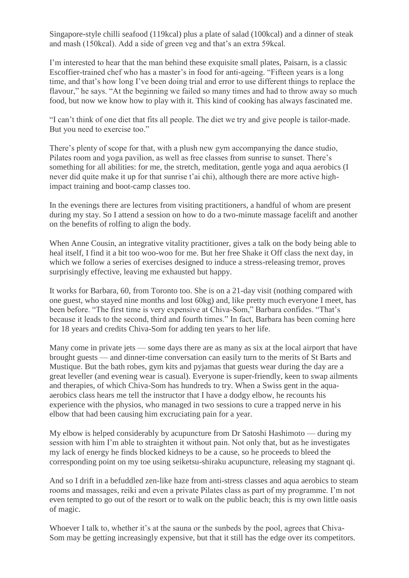Singapore-style chilli seafood (119kcal) plus a plate of salad (100kcal) and a dinner of steak and mash (150kcal). Add a side of green veg and that's an extra 59kcal.

I'm interested to hear that the man behind these exquisite small plates, Paisarn, is a classic Escoffier-trained chef who has a master's in food for anti-ageing. "Fifteen years is a long time, and that's how long I've been doing trial and error to use different things to replace the flavour," he says. "At the beginning we failed so many times and had to throw away so much food, but now we know how to play with it. This kind of cooking has always fascinated me.

"I can't think of one diet that fits all people. The diet we try and give people is tailor-made. But you need to exercise too."

There's plenty of scope for that, with a plush new gym accompanying the dance studio, Pilates room and yoga pavilion, as well as free classes from sunrise to sunset. There's something for all abilities: for me, the stretch, meditation, gentle yoga and aqua aerobics (I never did quite make it up for that sunrise t'ai chi), although there are more active highimpact training and boot-camp classes too.

In the evenings there are lectures from visiting practitioners, a handful of whom are present during my stay. So I attend a session on how to do a two-minute massage facelift and another on the benefits of rolfing to align the body.

When Anne Cousin, an integrative vitality practitioner, gives a talk on the body being able to heal itself, I find it a bit too woo-woo for me. But her free Shake it Off class the next day, in which we follow a series of exercises designed to induce a stress-releasing tremor, proves surprisingly effective, leaving me exhausted but happy.

It works for Barbara, 60, from Toronto too. She is on a 21-day visit (nothing compared with one guest, who stayed nine months and lost 60kg) and, like pretty much everyone I meet, has been before. "The first time is very expensive at Chiva-Som," Barbara confides. "That's because it leads to the second, third and fourth times." In fact, Barbara has been coming here for 18 years and credits Chiva-Som for adding ten years to her life.

Many come in private jets — some days there are as many as six at the local airport that have brought guests — and dinner-time conversation can easily turn to the merits of St Barts and Mustique. But the bath robes, gym kits and pyjamas that guests wear during the day are a great leveller (and evening wear is casual). Everyone is super-friendly, keen to swap ailments and therapies, of which Chiva-Som has hundreds to try. When a Swiss gent in the aquaaerobics class hears me tell the instructor that I have a dodgy elbow, he recounts his experience with the physios, who managed in two sessions to cure a trapped nerve in his elbow that had been causing him excruciating pain for a year.

My elbow is helped considerably by acupuncture from Dr Satoshi Hashimoto — during my session with him I'm able to straighten it without pain. Not only that, but as he investigates my lack of energy he finds blocked kidneys to be a cause, so he proceeds to bleed the corresponding point on my toe using seiketsu-shiraku acupuncture, releasing my stagnant qi.

And so I drift in a befuddled zen-like haze from anti-stress classes and aqua aerobics to steam rooms and massages, reiki and even a private Pilates class as part of my programme. I'm not even tempted to go out of the resort or to walk on the public beach; this is my own little oasis of magic.

Whoever I talk to, whether it's at the sauna or the sunbeds by the pool, agrees that Chiva-Som may be getting increasingly expensive, but that it still has the edge over its competitors.